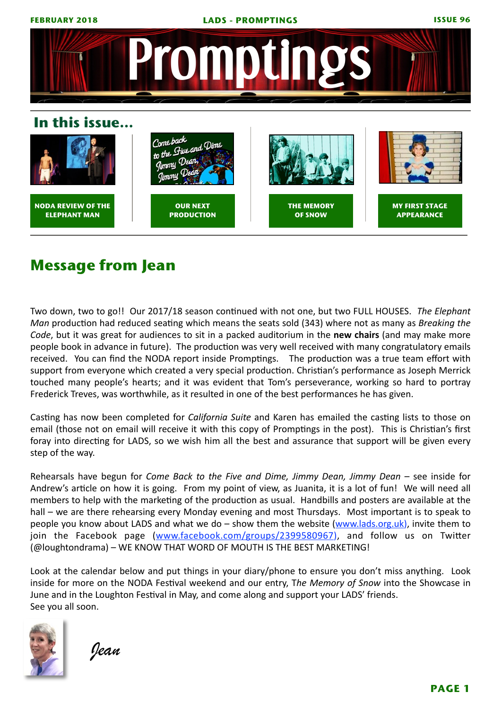

# **Message from Jean**

Two down, two to go!! Our 2017/18 season continued with not one, but two FULL HOUSES. The Elephant *Man* production had reduced seating which means the seats sold (343) where not as many as *Breaking the Code*, but it was great for audiences to sit in a packed auditorium in the **new chairs** (and may make more people book in advance in future). The production was very well received with many congratulatory emails received. You can find the NODA report inside Promptings. The production was a true team effort with support from everyone which created a very special production. Christian's performance as Joseph Merrick touched many people's hearts; and it was evident that Tom's perseverance, working so hard to portray Frederick Treves, was worthwhile, as it resulted in one of the best performances he has given.

Casting has now been completed for *California Suite* and Karen has emailed the casting lists to those on email (those not on email will receive it with this copy of Promptings in the post). This is Christian's first foray into directing for LADS, so we wish him all the best and assurance that support will be given every step of the way.

Rehearsals have begun for *Come Back to the Five and Dime, Jimmy Dean, Jimmy Dean* – see inside for Andrew's article on how it is going. From my point of view, as Juanita, it is a lot of fun! We will need all members to help with the marketing of the production as usual. Handbills and posters are available at the hall – we are there rehearsing every Monday evening and most Thursdays. Most important is to speak to people you know about LADS and what we do – show them the website  $(www.lads.org.uk)$ , invite them to join the Facebook page ([www.facebook.com/groups/2399580967](http://www.facebook.com/groups/2399580967)), and follow us on Twitter (@loughtondrama) – WE KNOW THAT WORD OF MOUTH IS THE BEST MARKETING!

Look at the calendar below and put things in your diary/phone to ensure you don't miss anything. Look inside for more on the NODA Festival weekend and our entry, The Memory of Snow into the Showcase in June and in the Loughton Festival in May, and come along and support your LADS' friends. See you all soon.



 *Jean*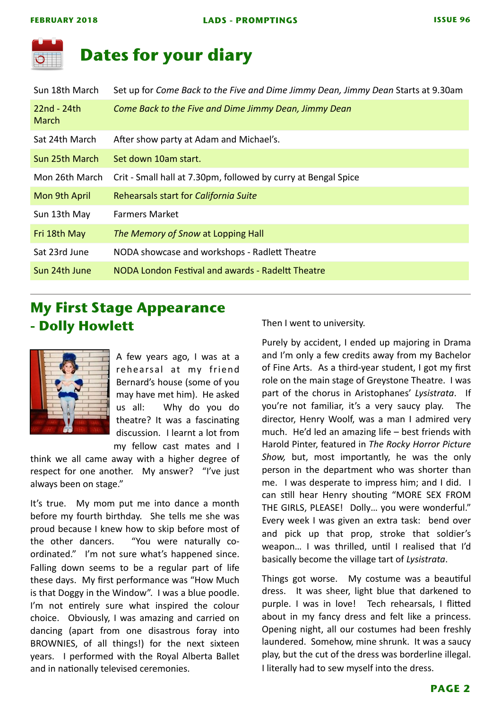

### **Dates for your diary**

| Sun 18th March                | Set up for Come Back to the Five and Dime Jimmy Dean, Jimmy Dean Starts at 9.30am |
|-------------------------------|-----------------------------------------------------------------------------------|
| $22nd - 24th$<br><b>March</b> | Come Back to the Five and Dime Jimmy Dean, Jimmy Dean                             |
| Sat 24th March                | After show party at Adam and Michael's.                                           |
| Sun 25th March                | Set down 10am start.                                                              |
| Mon 26th March                | Crit - Small hall at 7.30pm, followed by curry at Bengal Spice                    |
| Mon 9th April                 | Rehearsals start for California Suite                                             |
| Sun 13th May                  | <b>Farmers Market</b>                                                             |
| Fri 18th May                  | The Memory of Snow at Lopping Hall                                                |
| Sat 23rd June                 | NODA showcase and workshops - Radlett Theatre                                     |
| Sun 24th June                 | NODA London Festival and awards - Radeltt Theatre                                 |
|                               |                                                                                   |

### **My First Stage Appearance - Dolly Howlett**



A few years ago, I was at a rehearsal at my friend Bernard's house (some of you may have met him). He asked us all: Why do you do theatre? It was a fascinating discussion. I learnt a lot from my fellow cast mates and I 

think we all came away with a higher degree of respect for one another. My answer? "I've just always been on stage."

It's true. My mom put me into dance a month before my fourth birthday. She tells me she was proud because I knew how to skip before most of the other dancers. "You were naturally coordinated." I'm not sure what's happened since. Falling down seems to be a regular part of life these days. My first performance was "How Much is that Doggy in the Window". I was a blue poodle. I'm not entirely sure what inspired the colour choice. Obviously, I was amazing and carried on dancing (apart from one disastrous foray into BROWNIES, of all things!) for the next sixteen years. I performed with the Royal Alberta Ballet and in nationally televised ceremonies.

Then I went to university.

Purely by accident, I ended up majoring in Drama and I'm only a few credits away from my Bachelor of Fine Arts. As a third-year student, I got my first role on the main stage of Greystone Theatre. I was part of the chorus in Aristophanes' Lysistrata. If you're not familiar, it's a very saucy play. The director, Henry Woolf, was a man I admired very much. He'd led an amazing life  $-$  best friends with Harold Pinter, featured in The Rocky Horror Picture Show, but, most importantly, he was the only person in the department who was shorter than me. I was desperate to impress him; and I did.  $\blacksquare$ can still hear Henry shouting "MORE SEX FROM THE GIRLS, PLEASE! Dolly... you were wonderful." Every week I was given an extra task: bend over and pick up that prop, stroke that soldier's weapon... I was thrilled, until I realised that I'd basically become the village tart of *Lysistrata*. 

Things got worse. My costume was a beautiful dress. It was sheer, light blue that darkened to purple. I was in love! Tech rehearsals, I flitted about in my fancy dress and felt like a princess. Opening night, all our costumes had been freshly laundered. Somehow, mine shrunk. It was a saucy play, but the cut of the dress was borderline illegal. I literally had to sew myself into the dress.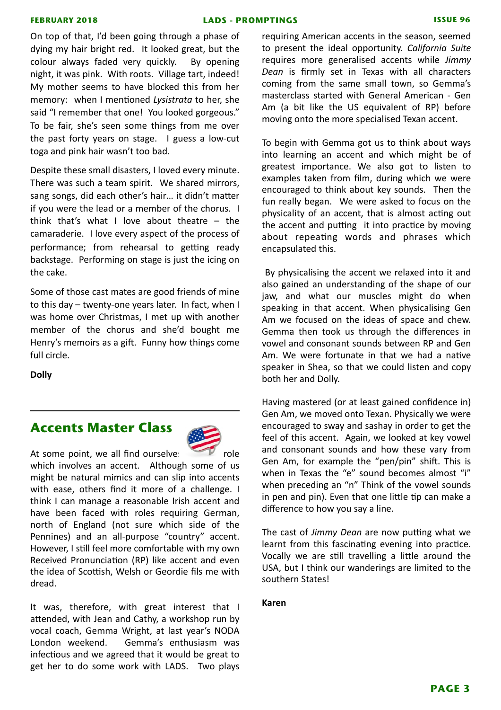#### **FEBRUARY 2018 LADS - PROMPTINGS ISSUE 96**

On top of that, I'd been going through a phase of dying my hair bright red. It looked great, but the colour always faded very quickly. By opening night, it was pink. With roots. Village tart, indeed! My mother seems to have blocked this from her memory: when I mentioned *Lysistrata* to her, she said "I remember that one! You looked gorgeous." To be fair, she's seen some things from me over the past forty years on stage. I guess a low-cut toga and pink hair wasn't too bad.

Despite these small disasters, I loved every minute. There was such a team spirit. We shared mirrors, sang songs, did each other's hair... it didn't matter if you were the lead or a member of the chorus. I think that's what I love about theatre  $-$  the camaraderie. I love every aspect of the process of performance; from rehearsal to getting ready backstage. Performing on stage is just the icing on the cake.

Some of those cast mates are good friends of mine to this day  $-$  twenty-one years later. In fact, when I was home over Christmas, I met up with another member of the chorus and she'd bought me Henry's memoirs as a gift. Funny how things come full circle.

**Dolly**

#### **Accents Master Class**



At some point, we all find ourselves  $\Box$  role which involves an accent. Although some of us might be natural mimics and can slip into accents with ease, others find it more of a challenge. I think I can manage a reasonable Irish accent and have been faced with roles requiring German, north of England (not sure which side of the Pennines) and an all-purpose "country" accent. However, I still feel more comfortable with my own Received Pronunciation (RP) like accent and even the idea of Scottish, Welsh or Geordie fils me with dread. 

It was, therefore, with great interest that I attended, with Jean and Cathy, a workshop run by vocal coach, Gemma Wright, at last year's NODA London weekend. Gemma's enthusiasm was infectious and we agreed that it would be great to get her to do some work with LADS. Two plays

requiring American accents in the season, seemed to present the ideal opportunity. California Suite requires more generalised accents while *Jimmy* Dean is firmly set in Texas with all characters coming from the same small town, so Gemma's masterclass started with General American - Gen Am (a bit like the US equivalent of RP) before moving onto the more specialised Texan accent.

To begin with Gemma got us to think about ways into learning an accent and which might be of greatest importance. We also got to listen to examples taken from film, during which we were encouraged to think about key sounds. Then the fun really began. We were asked to focus on the physicality of an accent, that is almost acting out the accent and putting it into practice by moving about repeating words and phrases which encapsulated this.

By physicalising the accent we relaxed into it and also gained an understanding of the shape of our jaw, and what our muscles might do when speaking in that accent. When physicalising Gen Am we focused on the ideas of space and chew. Gemma then took us through the differences in vowel and consonant sounds between RP and Gen Am. We were fortunate in that we had a native speaker in Shea, so that we could listen and copy both her and Dolly.

Having mastered (or at least gained confidence in) Gen Am, we moved onto Texan. Physically we were encouraged to sway and sashay in order to get the feel of this accent. Again, we looked at key vowel and consonant sounds and how these vary from Gen Am, for example the "pen/pin" shift. This is when in Texas the "e" sound becomes almost "i" when preceding an "n" Think of the vowel sounds in pen and pin). Even that one little tip can make a difference to how you say a line.

The cast of *Jimmy Dean* are now putting what we learnt from this fascinating evening into practice. Vocally we are still travelling a little around the USA, but I think our wanderings are limited to the southern States!

#### **Karen**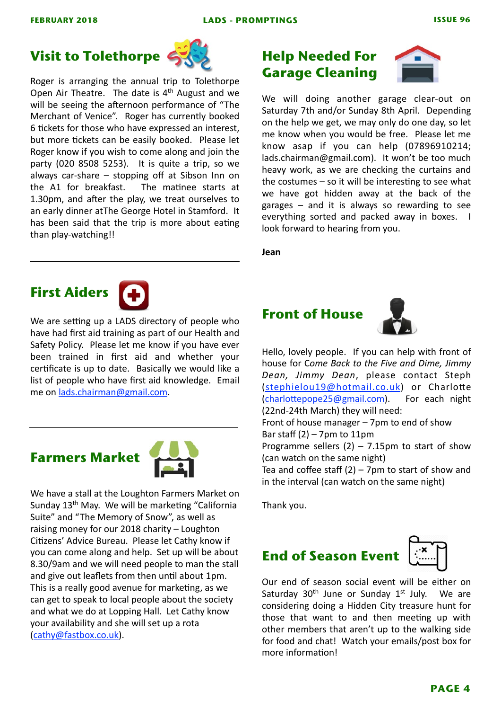# **Visit to Tolethorpe**



Roger is arranging the annual trip to Tolethorpe Open Air Theatre. The date is  $4<sup>th</sup>$  August and we will be seeing the afternoon performance of "The Merchant of Venice". Roger has currently booked 6 tickets for those who have expressed an interest, but more tickets can be easily booked. Please let Roger know if you wish to come along and join the party  $(020 8508 5253)$ . It is quite a trip, so we always car-share  $-$  stopping off at Sibson Inn on the A1 for breakfast. The matinee starts at 1.30pm, and after the play, we treat ourselves to an early dinner atThe George Hotel in Stamford. It has been said that the trip is more about eating than play-watching!!

### **Help Needed For Garage Cleaning**



We will doing another garage clear-out on Saturday 7th and/or Sunday 8th April. Depending on the help we get, we may only do one day, so let me know when you would be free. Please let me know asap if you can help (07896910214; lads.chairman@gmail.com). It won't be too much heavy work, as we are checking the curtains and the costumes  $-$  so it will be interesting to see what we have got hidden away at the back of the garages  $-$  and it is always so rewarding to see everything sorted and packed away in boxes. I look forward to hearing from you.

**Jean** 

# **First Aiders**

We are setting up a LADS directory of people who have had first aid training as part of our Health and Safety Policy. Please let me know if you have ever been trained in first aid and whether your certificate is up to date. Basically we would like a list of people who have first aid knowledge. Email me on [lads.chairman@gmail.com.](mailto:lads.chairman@gmail.com)





We have a stall at the Loughton Farmers Market on Sunday 13<sup>th</sup> May. We will be marketing "California Suite" and "The Memory of Snow", as well as raising money for our 2018 charity - Loughton Citizens' Advice Bureau. Please let Cathy know if you can come along and help. Set up will be about 8.30/9am and we will need people to man the stall and give out leaflets from then until about 1pm. This is a really good avenue for marketing, as we can get to speak to local people about the society and what we do at Lopping Hall. Let Cathy know your availability and she will set up a rota ([cathy@fastbox.co.uk\)](mailto:cathy@fastbox.co.uk).

### **Front of House**



Hello, lovely people. If you can help with front of house for Come Back to the Five and Dime, Jimmy *Dean, Jimmy Dean*, please contact Steph ([stephielou19@hotmail.co.uk](mailto:stephielou19@hotmail.co.uk)) or Charlotte (charlottepope25@gmail.com). For each night (22nd-24th March) they will need: Front of house manager  $-7$ pm to end of show Bar staff  $(2)$  – 7pm to 11pm

Programme sellers  $(2)$  – 7.15pm to start of show (can watch on the same night)

Tea and coffee staff  $(2)$  – 7pm to start of show and in the interval (can watch on the same night)

Thank you.

### **End of Season Event**

Our end of season social event will be either on Saturday  $30<sup>th</sup>$  June or Sunday  $1<sup>st</sup>$  July. We are considering doing a Hidden City treasure hunt for those that want to and then meeting up with other members that aren't up to the walking side for food and chat! Watch your emails/post box for more information!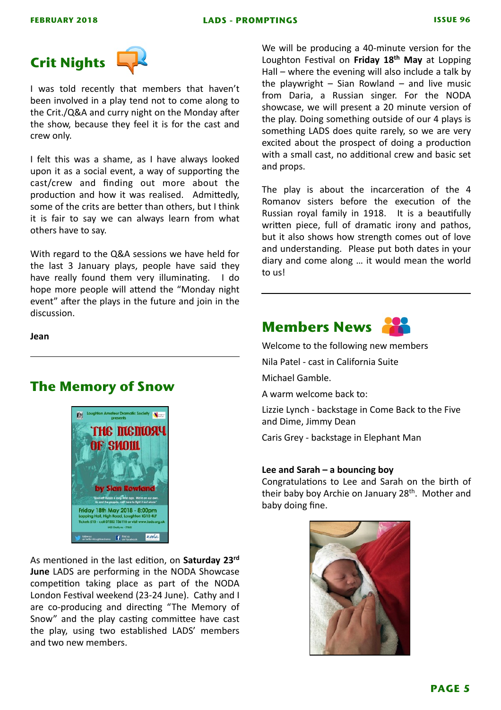

I was told recently that members that haven't been involved in a play tend not to come along to the Crit./Q&A and curry night on the Monday after the show, because they feel it is for the cast and crew only.

I felt this was a shame, as I have always looked upon it as a social event, a way of supporting the cast/crew and finding out more about the production and how it was realised. Admittedly, some of the crits are better than others, but I think it is fair to say we can always learn from what others have to say.

With regard to the Q&A sessions we have held for the last 3 January plays, people have said they have really found them very illuminating. I do hope more people will attend the "Monday night event" after the plays in the future and join in the discussion. 

**Jean** 

#### **The Memory of Snow**



As mentioned in the last edition, on **Saturday 23rd June** LADS are performing in the NODA Showcase competition taking place as part of the NODA London Festival weekend (23-24 June). Cathy and I are co-producing and directing "The Memory of Snow" and the play casting committee have cast the play, using two established LADS' members and two new members.

We will be producing a 40-minute version for the Loughton Festival on Friday 18<sup>th</sup> May at Lopping Hall – where the evening will also include a talk by the playwright  $-$  Sian Rowland  $-$  and live music from Daria, a Russian singer. For the NODA showcase, we will present a 20 minute version of the play. Doing something outside of our 4 plays is something LADS does quite rarely, so we are very excited about the prospect of doing a production with a small cast, no additional crew and basic set and props.

The play is about the incarceration of the 4 Romanov sisters before the execution of the Russian royal family in 1918. It is a beautifully written piece, full of dramatic irony and pathos, but it also shows how strength comes out of love and understanding. Please put both dates in your diary and come along ... it would mean the world to us!

### **Members News**



Welcome to the following new members

Nila Patel - cast in California Suite

Michael Gamble.

A warm welcome back to:

Lizzie Lynch - backstage in Come Back to the Five and Dime, Jimmy Dean

Caris Grey - backstage in Elephant Man

#### Lee and Sarah – a bouncing boy

Congratulations to Lee and Sarah on the birth of their baby boy Archie on January  $28<sup>th</sup>$ . Mother and baby doing fine.

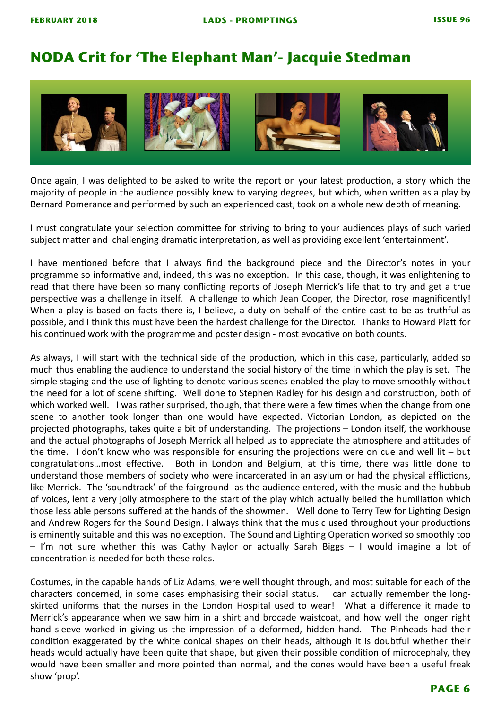### **NODA Crit for 'The Elephant Man'- Jacquie Stedman**



Once again, I was delighted to be asked to write the report on your latest production, a story which the majority of people in the audience possibly knew to varying degrees, but which, when written as a play by Bernard Pomerance and performed by such an experienced cast, took on a whole new depth of meaning.

I must congratulate your selection committee for striving to bring to your audiences plays of such varied subject matter and challenging dramatic interpretation, as well as providing excellent 'entertainment'.

I have mentioned before that I always find the background piece and the Director's notes in your programme so informative and, indeed, this was no exception. In this case, though, it was enlightening to read that there have been so many conflicting reports of Joseph Merrick's life that to try and get a true perspective was a challenge in itself. A challenge to which Jean Cooper, the Director, rose magnificently! When a play is based on facts there is, I believe, a duty on behalf of the entire cast to be as truthful as possible, and I think this must have been the hardest challenge for the Director. Thanks to Howard Platt for his continued work with the programme and poster design - most evocative on both counts.

As always, I will start with the technical side of the production, which in this case, particularly, added so much thus enabling the audience to understand the social history of the time in which the play is set. The simple staging and the use of lighting to denote various scenes enabled the play to move smoothly without the need for a lot of scene shifting. Well done to Stephen Radley for his design and construction, both of which worked well. I was rather surprised, though, that there were a few times when the change from one scene to another took longer than one would have expected. Victorian London, as depicted on the projected photographs, takes quite a bit of understanding. The projections – London itself, the workhouse and the actual photographs of Joseph Merrick all helped us to appreciate the atmosphere and attitudes of the time. I don't know who was responsible for ensuring the projections were on cue and well lit – but congratulations…most effective. Both in London and Belgium, at this time, there was little done to understand those members of society who were incarcerated in an asylum or had the physical afflictions, like Merrick. The 'soundtrack' of the fairground as the audience entered, with the music and the hubbub of voices, lent a very jolly atmosphere to the start of the play which actually belied the humiliation which those less able persons suffered at the hands of the showmen. Well done to Terry Tew for Lighting Design and Andrew Rogers for the Sound Design. I always think that the music used throughout your productions is eminently suitable and this was no exception. The Sound and Lighting Operation worked so smoothly too  $-$  I'm not sure whether this was Cathy Naylor or actually Sarah Biggs  $-$  I would imagine a lot of concentration is needed for both these roles.

Costumes, in the capable hands of Liz Adams, were well thought through, and most suitable for each of the characters concerned, in some cases emphasising their social status. I can actually remember the longskirted uniforms that the nurses in the London Hospital used to wear! What a difference it made to Merrick's appearance when we saw him in a shirt and brocade waistcoat, and how well the longer right hand sleeve worked in giving us the impression of a deformed, hidden hand. The Pinheads had their condition exaggerated by the white conical shapes on their heads, although it is doubtful whether their heads would actually have been quite that shape, but given their possible condition of microcephaly, they would have been smaller and more pointed than normal, and the cones would have been a useful freak show 'prop'.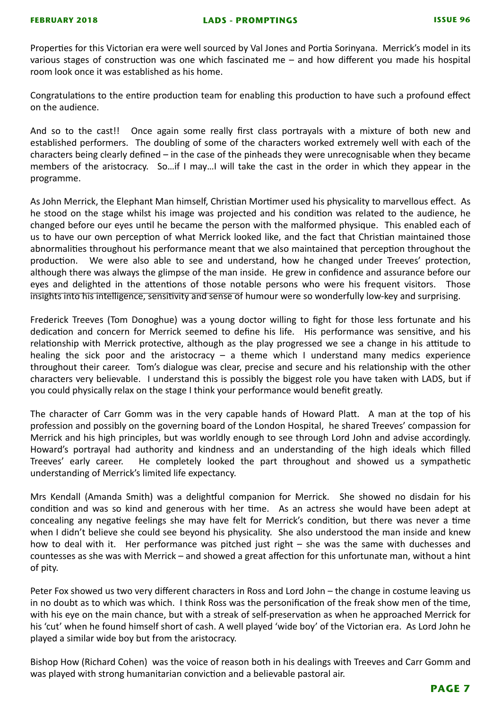Properties for this Victorian era were well sourced by Val Jones and Portia Sorinyana. Merrick's model in its various stages of construction was one which fascinated me  $-$  and how different you made his hospital room look once it was established as his home.

Congratulations to the entire production team for enabling this production to have such a profound effect on the audience.

And so to the cast!! Once again some really first class portrayals with a mixture of both new and established performers. The doubling of some of the characters worked extremely well with each of the characters being clearly defined  $-$  in the case of the pinheads they were unrecognisable when they became members of the aristocracy. So... if I may... I will take the cast in the order in which they appear in the programme. 

As John Merrick, the Elephant Man himself, Christian Mortimer used his physicality to marvellous effect. As he stood on the stage whilst his image was projected and his condition was related to the audience, he changed before our eyes until he became the person with the malformed physique. This enabled each of us to have our own perception of what Merrick looked like, and the fact that Christian maintained those abnormalities throughout his performance meant that we also maintained that perception throughout the production. We were also able to see and understand, how he changed under Treeves' protection, although there was always the glimpse of the man inside. He grew in confidence and assurance before our eyes and delighted in the attentions of those notable persons who were his frequent visitors. Those insights into his intelligence, sensitivity and sense of humour were so wonderfully low-key and surprising.

Frederick Treeves (Tom Donoghue) was a young doctor willing to fight for those less fortunate and his dedication and concern for Merrick seemed to define his life. His performance was sensitive, and his relationship with Merrick protective, although as the play progressed we see a change in his attitude to healing the sick poor and the aristocracy – a theme which I understand many medics experience throughout their career. Tom's dialogue was clear, precise and secure and his relationship with the other characters very believable. I understand this is possibly the biggest role you have taken with LADS, but if you could physically relax on the stage I think your performance would benefit greatly.

The character of Carr Gomm was in the very capable hands of Howard Platt. A man at the top of his profession and possibly on the governing board of the London Hospital, he shared Treeves' compassion for Merrick and his high principles, but was worldly enough to see through Lord John and advise accordingly. Howard's portrayal had authority and kindness and an understanding of the high ideals which filled Treeves' early career. He completely looked the part throughout and showed us a sympathetic understanding of Merrick's limited life expectancy.

Mrs Kendall (Amanda Smith) was a delightful companion for Merrick. She showed no disdain for his condition and was so kind and generous with her time. As an actress she would have been adept at concealing any negative feelings she may have felt for Merrick's condition, but there was never a time when I didn't believe she could see beyond his physicality. She also understood the man inside and knew how to deal with it. Her performance was pitched just right – she was the same with duchesses and countesses as she was with Merrick – and showed a great affection for this unfortunate man, without a hint of pity.

Peter Fox showed us two very different characters in Ross and Lord John – the change in costume leaving us in no doubt as to which was which. I think Ross was the personification of the freak show men of the time, with his eve on the main chance, but with a streak of self-preservation as when he approached Merrick for his 'cut' when he found himself short of cash. A well played 'wide boy' of the Victorian era. As Lord John he played a similar wide boy but from the aristocracy.

Bishop How (Richard Cohen) was the voice of reason both in his dealings with Treeves and Carr Gomm and was played with strong humanitarian conviction and a believable pastoral air.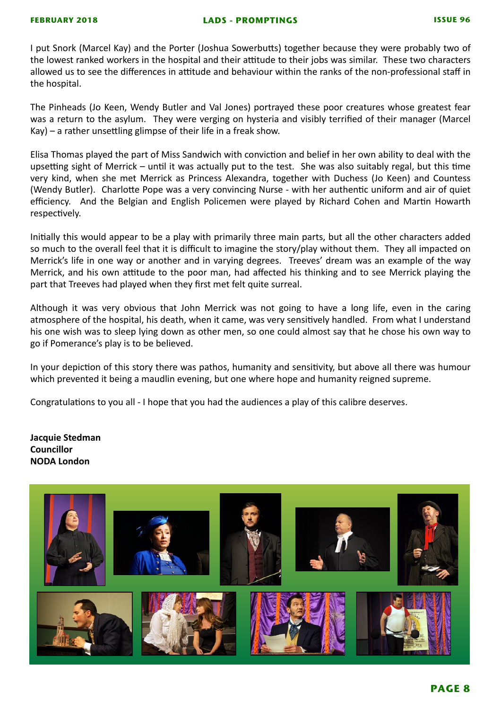I put Snork (Marcel Kay) and the Porter (Joshua Sowerbutts) together because they were probably two of the lowest ranked workers in the hospital and their attitude to their jobs was similar. These two characters allowed us to see the differences in attitude and behaviour within the ranks of the non-professional staff in the hospital.

The Pinheads (Jo Keen, Wendy Butler and Val Jones) portrayed these poor creatures whose greatest fear was a return to the asylum. They were verging on hysteria and visibly terrified of their manager (Marcel  $Kay$ ) – a rather unsettling glimpse of their life in a freak show.

Elisa Thomas played the part of Miss Sandwich with conviction and belief in her own ability to deal with the upsetting sight of Merrick – until it was actually put to the test. She was also suitably regal, but this time very kind, when she met Merrick as Princess Alexandra, together with Duchess (Jo Keen) and Countess (Wendy Butler). Charlotte Pope was a very convincing Nurse - with her authentic uniform and air of quiet efficiency. And the Belgian and English Policemen were played by Richard Cohen and Martin Howarth respectively.

Initially this would appear to be a play with primarily three main parts, but all the other characters added so much to the overall feel that it is difficult to imagine the story/play without them. They all impacted on Merrick's life in one way or another and in varying degrees. Treeves' dream was an example of the way Merrick, and his own attitude to the poor man, had affected his thinking and to see Merrick playing the part that Treeves had played when they first met felt quite surreal.

Although it was very obvious that John Merrick was not going to have a long life, even in the caring atmosphere of the hospital, his death, when it came, was very sensitively handled. From what I understand his one wish was to sleep lying down as other men, so one could almost say that he chose his own way to go if Pomerance's play is to be believed.

In your depiction of this story there was pathos, humanity and sensitivity, but above all there was humour which prevented it being a maudlin evening, but one where hope and humanity reigned supreme.

Congratulations to you all - I hope that you had the audiences a play of this calibre deserves.

**Jacquie Stedman Councillor NODA London**

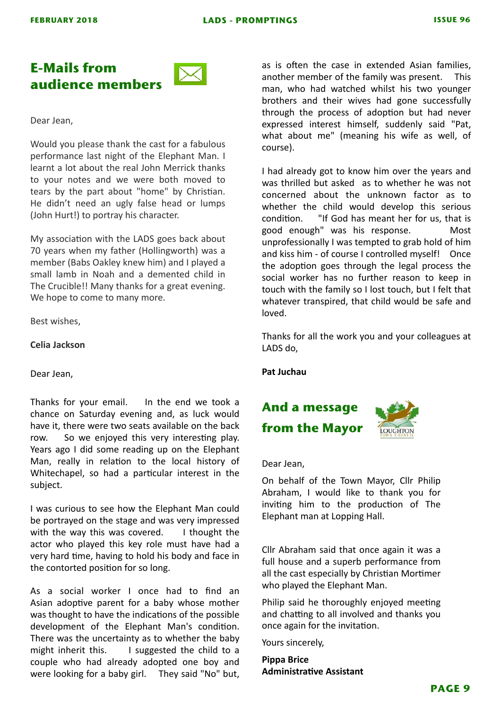#### **E-Mails from audience members**



#### Dear Jean,

Would you please thank the cast for a fabulous performance last night of the Elephant Man. I learnt a lot about the real John Merrick thanks to your notes and we were both moved to tears by the part about "home" by Christian. He didn't need an ugly false head or lumps (John Hurt!) to portray his character.

My association with the LADS goes back about 70 years when my father (Hollingworth) was a member (Babs Oakley knew him) and I played a small lamb in Noah and a demented child in The Crucible!! Many thanks for a great evening. We hope to come to many more.

Best wishes.

#### **Celia Jackson**

Dear Jean,

Thanks for your email. In the end we took a chance on Saturday evening and, as luck would have it, there were two seats available on the back row. So we enjoyed this very interesting play. Years ago I did some reading up on the Elephant Man, really in relation to the local history of Whitechapel, so had a particular interest in the subject. 

I was curious to see how the Elephant Man could be portrayed on the stage and was very impressed with the way this was covered.  $\blacksquare$  I thought the actor who played this key role must have had a very hard time, having to hold his body and face in the contorted position for so long.

As a social worker I once had to find an Asian adoptive parent for a baby whose mother was thought to have the indications of the possible development of the Elephant Man's condition. There was the uncertainty as to whether the baby might inherit this.  $\blacksquare$  I suggested the child to a couple who had already adopted one boy and were looking for a baby girl. They said "No" but,

as is often the case in extended Asian families, another member of the family was present. This man, who had watched whilst his two vounger brothers and their wives had gone successfully through the process of adoption but had never expressed interest himself, suddenly said "Pat, what about me" (meaning his wife as well, of course). 

I had already got to know him over the years and was thrilled but asked as to whether he was not concerned about the unknown factor as to whether the child would develop this serious condition. "If God has meant her for us, that is good enough" was his response. Most unprofessionally I was tempted to grab hold of him and kiss him - of course I controlled myself! Once the adoption goes through the legal process the social worker has no further reason to keep in touch with the family so I lost touch, but I felt that whatever transpired, that child would be safe and loved. 

Thanks for all the work you and your colleagues at LADS do.

**Pat Juchau**

## **And a message from the Mayor**



Dear Jean, 

On behalf of the Town Mayor, Cllr Philip Abraham, I would like to thank you for inviting him to the production of The Elephant man at Lopping Hall.

Cllr Abraham said that once again it was a full house and a superb performance from all the cast especially by Christian Mortimer who played the Elephant Man.

Philip said he thoroughly enjoyed meeting and chatting to all involved and thanks you once again for the invitation.

Yours sincerely,

**Pippa Brice Administrative Assistant**